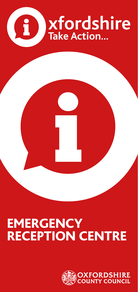

# **EMERGENCY** RECEPTION CENTRE

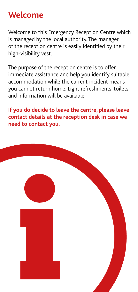#### **Welcome**

Welcome to this Emergency Reception Centre which is managed by the local authority. The manager of the reception centre is easily identified by their high-visibility vest.

The purpose of the reception centre is to offer immediate assistance and help you identify suitable accommodation while the current incident means you cannot return home. Light refreshments, toilets and information will be available.

**If you do decide to leave the centre, please leave contact details at the reception desk in case we need to contact you.**

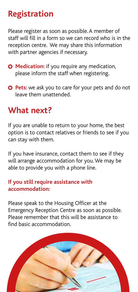## **Registration**

Please register as soon as possible. A member of staff will fill in a form so we can record who is in the reception centre. We may share this information with partner agencies if necessary.

- **O** Medication: if you require any medication, please inform the staff when registering.
- **O** Pets: we ask you to care for your pets and do not leave them unattended.

#### **What next?**

If you are unable to return to your home, the best option is to contact relatives or friends to see if you can stay with them.

If you have insurance, contact them to see if they will arrange accommodation for you. We may be able to provide you with a phone line.

#### **If you still require assistance with accommodation:**

Please speak to the Housing Officer at the Emergency Reception Centre as soon as possible. Please remember that this will be assistance to find basic accommodation.

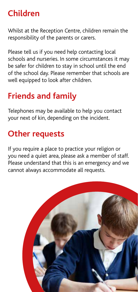# **Children**

Whilst at the Reception Centre, children remain the responsibility of the parents or carers.

Please tell us if you need help contacting local schools and nurseries. In some circumstances it may be safer for children to stay in school until the end of the school day. Please remember that schools are well equipped to look after children.

# **Friends and family**

Telephones may be available to help you contact your next of kin, depending on the incident.

# **Other requests**

If you require a place to practice your religion or you need a quiet area, please ask a member of staff. Please understand that this is an emergency and we cannot always accommodate all requests.

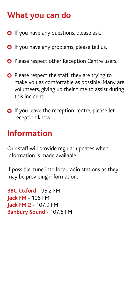# **What you can do**

- **O** If you have any questions, please ask.
- **O** If you have any problems, please tell us.
- **O** Please respect other Reception Centre users.
- **O** Please respect the staff; they are trying to make you as comfortable as possible. Many are volunteers, giving up their time to assist during this incident.
- O If you leave the reception centre, please let reception know.

### **Information**

Our staff will provide regular updates when information is made available.

If possible, tune into local radio stations as they may be providing information.

**BBC Oxford** - 95.2 FM **Jack FM** - 106 FM **Jack FM 2** - 107.9 FM **Banbury Sound** - 107.6 FM